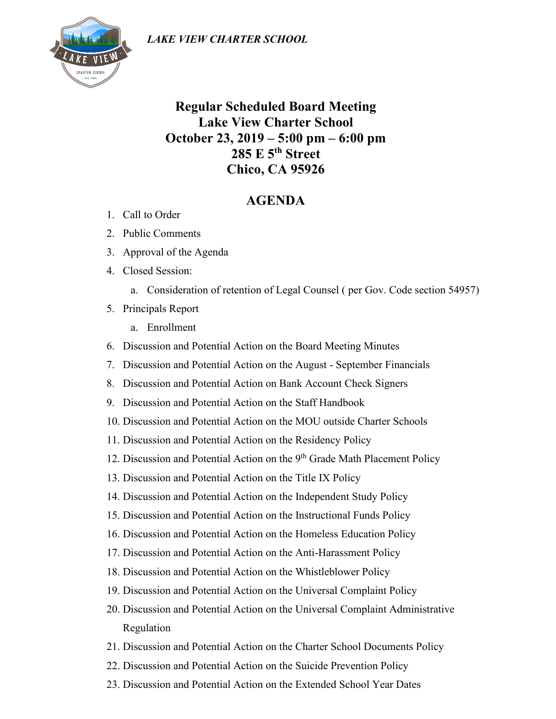

**Regular Scheduled Board Meeting Lake View Charter School October 23, 2019 – 5:00 pm – 6:00 pm 285 E 5th Street Chico, CA 95926**

## **AGENDA**

- 1. Call to Order
- 2. Public Comments
- 3. Approval of the Agenda
- 4. Closed Session:
	- a. Consideration of retention of Legal Counsel ( per Gov. Code section 54957)
- 5. Principals Report
	- a. Enrollment
- 6. Discussion and Potential Action on the Board Meeting Minutes
- 7. Discussion and Potential Action on the August September Financials
- 8. Discussion and Potential Action on Bank Account Check Signers
- 9. Discussion and Potential Action on the Staff Handbook
- 10. Discussion and Potential Action on the MOU outside Charter Schools
- 11. Discussion and Potential Action on the Residency Policy
- 12. Discussion and Potential Action on the 9<sup>th</sup> Grade Math Placement Policy
- 13. Discussion and Potential Action on the Title IX Policy
- 14. Discussion and Potential Action on the Independent Study Policy
- 15. Discussion and Potential Action on the Instructional Funds Policy
- 16. Discussion and Potential Action on the Homeless Education Policy
- 17. Discussion and Potential Action on the Anti-Harassment Policy
- 18. Discussion and Potential Action on the Whistleblower Policy
- 19. Discussion and Potential Action on the Universal Complaint Policy
- 20. Discussion and Potential Action on the Universal Complaint Administrative Regulation
- 21. Discussion and Potential Action on the Charter School Documents Policy
- 22. Discussion and Potential Action on the Suicide Prevention Policy
- 23. Discussion and Potential Action on the Extended School Year Dates